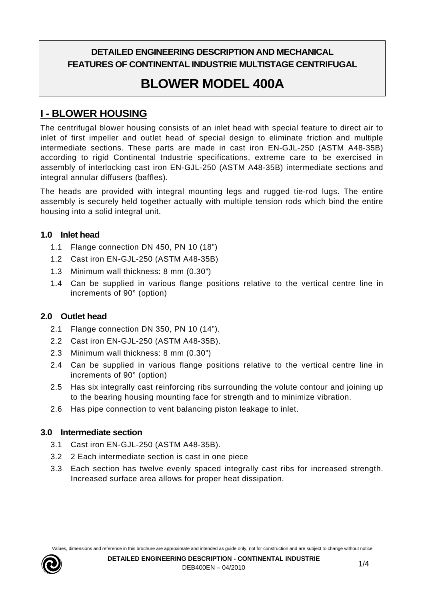# **DETAILED ENGINEERING DESCRIPTION AND MECHANICAL FEATURES OF CONTINENTAL INDUSTRIE MULTISTAGE CENTRIFUGAL**

# **BLOWER MODEL 400A**

# **I - BLOWER HOUSING**

The centrifugal blower housing consists of an inlet head with special feature to direct air to inlet of first impeller and outlet head of special design to eliminate friction and multiple intermediate sections. These parts are made in cast iron EN-GJL-250 (ASTM A48-35B) according to rigid Continental Industrie specifications, extreme care to be exercised in assembly of interlocking cast iron EN-GJL-250 (ASTM A48-35B) intermediate sections and integral annular diffusers (baffles).

The heads are provided with integral mounting legs and rugged tie-rod lugs. The entire assembly is securely held together actually with multiple tension rods which bind the entire housing into a solid integral unit.

#### **1.0 Inlet head**

- 1.1 Flange connection DN 450, PN 10 (18")
- 1.2 Cast iron EN-GJL-250 (ASTM A48-35B)
- 1.3 Minimum wall thickness: 8 mm (0.30")
- 1.4 Can be supplied in various flange positions relative to the vertical centre line in increments of 90° (option)

## **2.0 Outlet head**

- 2.1 Flange connection DN 350, PN 10 (14").
- 2.2 Cast iron EN-GJL-250 (ASTM A48-35B).
- 2.3 Minimum wall thickness: 8 mm (0.30")
- 2.4 Can be supplied in various flange positions relative to the vertical centre line in increments of 90° (option)
- 2.5 Has six integrally cast reinforcing ribs surrounding the volute contour and joining up to the bearing housing mounting face for strength and to minimize vibration.
- 2.6 Has pipe connection to vent balancing piston leakage to inlet.

#### **3.0 Intermediate section**

- 3.1 Cast iron EN-GJL-250 (ASTM A48-35B).
- 3.2 2 Each intermediate section is cast in one piece
- 3.3 Each section has twelve evenly spaced integrally cast ribs for increased strength. Increased surface area allows for proper heat dissipation.

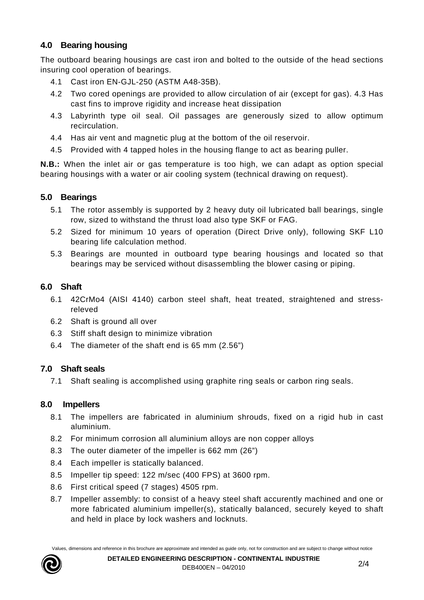# **4.0 Bearing housing**

The outboard bearing housings are cast iron and bolted to the outside of the head sections insuring cool operation of bearings.

- 4.1 Cast iron EN-GJL-250 (ASTM A48-35B).
- 4.2 Two cored openings are provided to allow circulation of air (except for gas). 4.3 Has cast fins to improve rigidity and increase heat dissipation
- 4.3 Labyrinth type oil seal. Oil passages are generously sized to allow optimum recirculation.
- 4.4 Has air vent and magnetic plug at the bottom of the oil reservoir.
- 4.5 Provided with 4 tapped holes in the housing flange to act as bearing puller.

**N.B.:** When the inlet air or gas temperature is too high, we can adapt as option special bearing housings with a water or air cooling system (technical drawing on request).

## **5.0 Bearings**

- 5.1 The rotor assembly is supported by 2 heavy duty oil lubricated ball bearings, single row, sized to withstand the thrust load also type SKF or FAG.
- 5.2 Sized for minimum 10 years of operation (Direct Drive only), following SKF L10 bearing life calculation method.
- 5.3 Bearings are mounted in outboard type bearing housings and located so that bearings may be serviced without disassembling the blower casing or piping.

#### **6.0 Shaft**

- 6.1 42CrMo4 (AISI 4140) carbon steel shaft, heat treated, straightened and stressreleved
- 6.2 Shaft is ground all over
- 6.3 Stiff shaft design to minimize vibration
- 6.4 The diameter of the shaft end is 65 mm (2.56")

## **7.0 Shaft seals**

7.1 Shaft sealing is accomplished using graphite ring seals or carbon ring seals.

#### **8.0 Impellers**

- 8.1 The impellers are fabricated in aluminium shrouds, fixed on a rigid hub in cast aluminium.
- 8.2 For minimum corrosion all aluminium alloys are non copper alloys
- 8.3 The outer diameter of the impeller is 662 mm (26")
- 8.4 Each impeller is statically balanced.
- 8.5 Impeller tip speed: 122 m/sec (400 FPS) at 3600 rpm.
- 8.6 First critical speed (7 stages) 4505 rpm.
- 8.7 Impeller assembly: to consist of a heavy steel shaft accurently machined and one or more fabricated aluminium impeller(s), statically balanced, securely keyed to shaft and held in place by lock washers and locknuts.

Values, dimensions and reference in this brochure are approximate and intended as guide only, not for construction and are subject to change without notice

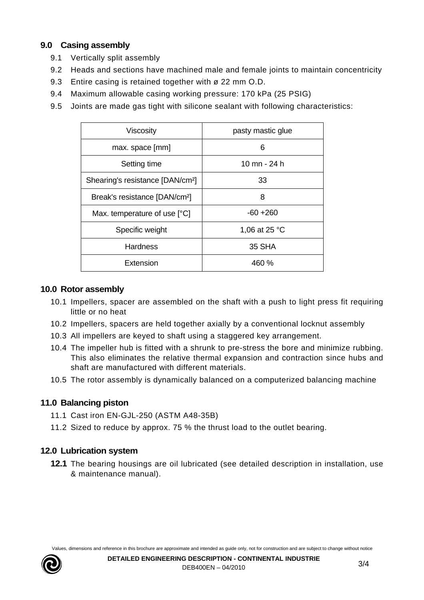## **9.0 Casing assembly**

- 9.1 Vertically split assembly
- 9.2 Heads and sections have machined male and female joints to maintain concentricity
- 9.3 Entire casing is retained together with ø 22 mm O.D.
- 9.4 Maximum allowable casing working pressure: 170 kPa (25 PSIG)
- 9.5 Joints are made gas tight with silicone sealant with following characteristics:

| Viscosity                                    | pasty mastic glue |
|----------------------------------------------|-------------------|
| max. space [mm]                              | 6                 |
| Setting time                                 | 10 mn - 24 h      |
| Shearing's resistance [DAN/cm <sup>2</sup> ] | 33                |
| Break's resistance [DAN/cm <sup>2</sup> ]    | 8                 |
| Max. temperature of use [°C]                 | $-60 + 260$       |
| Specific weight                              | 1,06 at 25 °C     |
| <b>Hardness</b>                              | 35 SHA            |
| Extension                                    | 460 %             |

## **10.0 Rotor assembly**

- 10.1 Impellers, spacer are assembled on the shaft with a push to light press fit requiring little or no heat
- 10.2 Impellers, spacers are held together axially by a conventional locknut assembly
- 10.3 All impellers are keyed to shaft using a staggered key arrangement.
- 10.4 The impeller hub is fitted with a shrunk to pre-stress the bore and minimize rubbing. This also eliminates the relative thermal expansion and contraction since hubs and shaft are manufactured with different materials.
- 10.5 The rotor assembly is dynamically balanced on a computerized balancing machine

## **11.0 Balancing piston**

- 11.1 Cast iron EN-GJL-250 (ASTM A48-35B)
- 11.2 Sized to reduce by approx. 75 % the thrust load to the outlet bearing.

## **12.0 Lubrication system**

**12.1** The bearing housings are oil lubricated (see detailed description in installation, use & maintenance manual).

Values, dimensions and reference in this brochure are approximate and intended as guide only, not for construction and are subject to change without notice